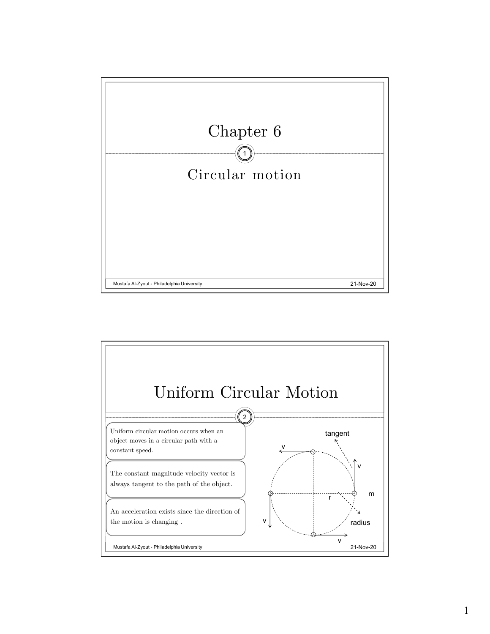

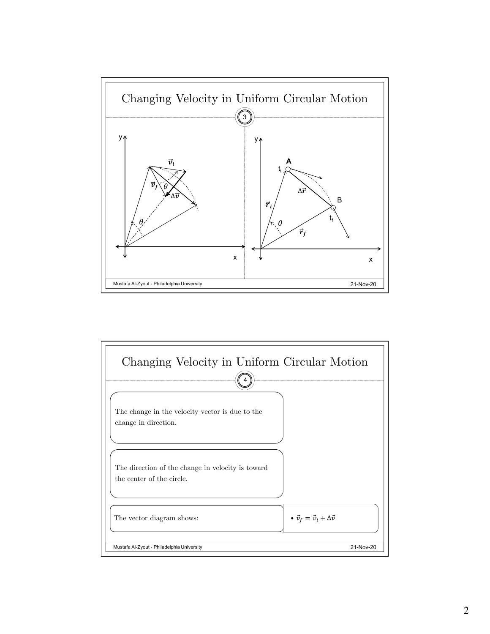

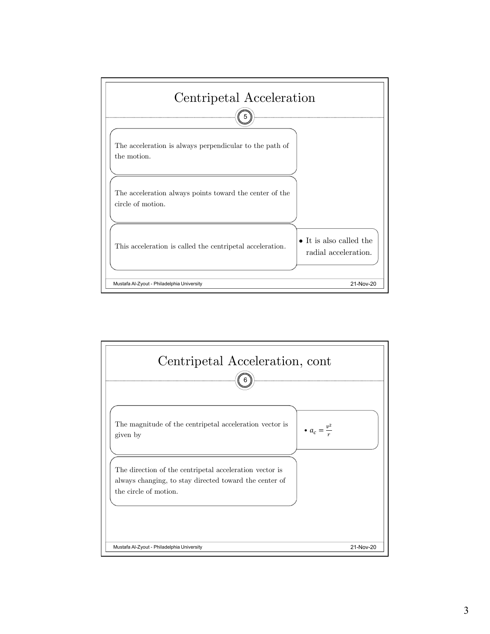

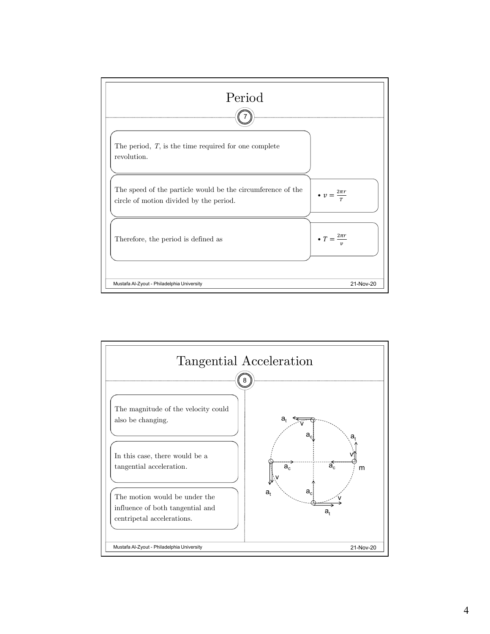

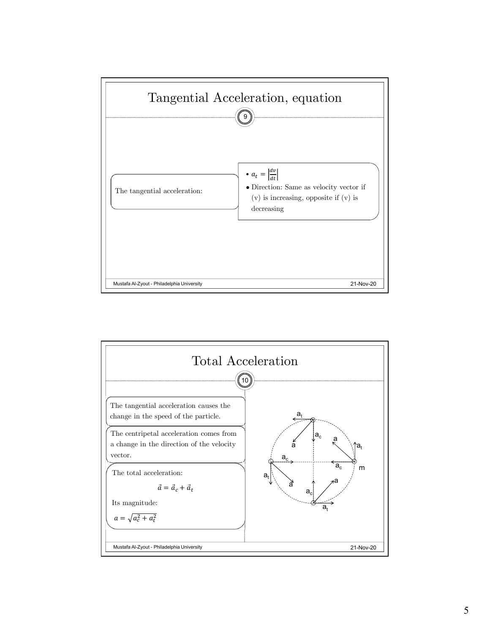